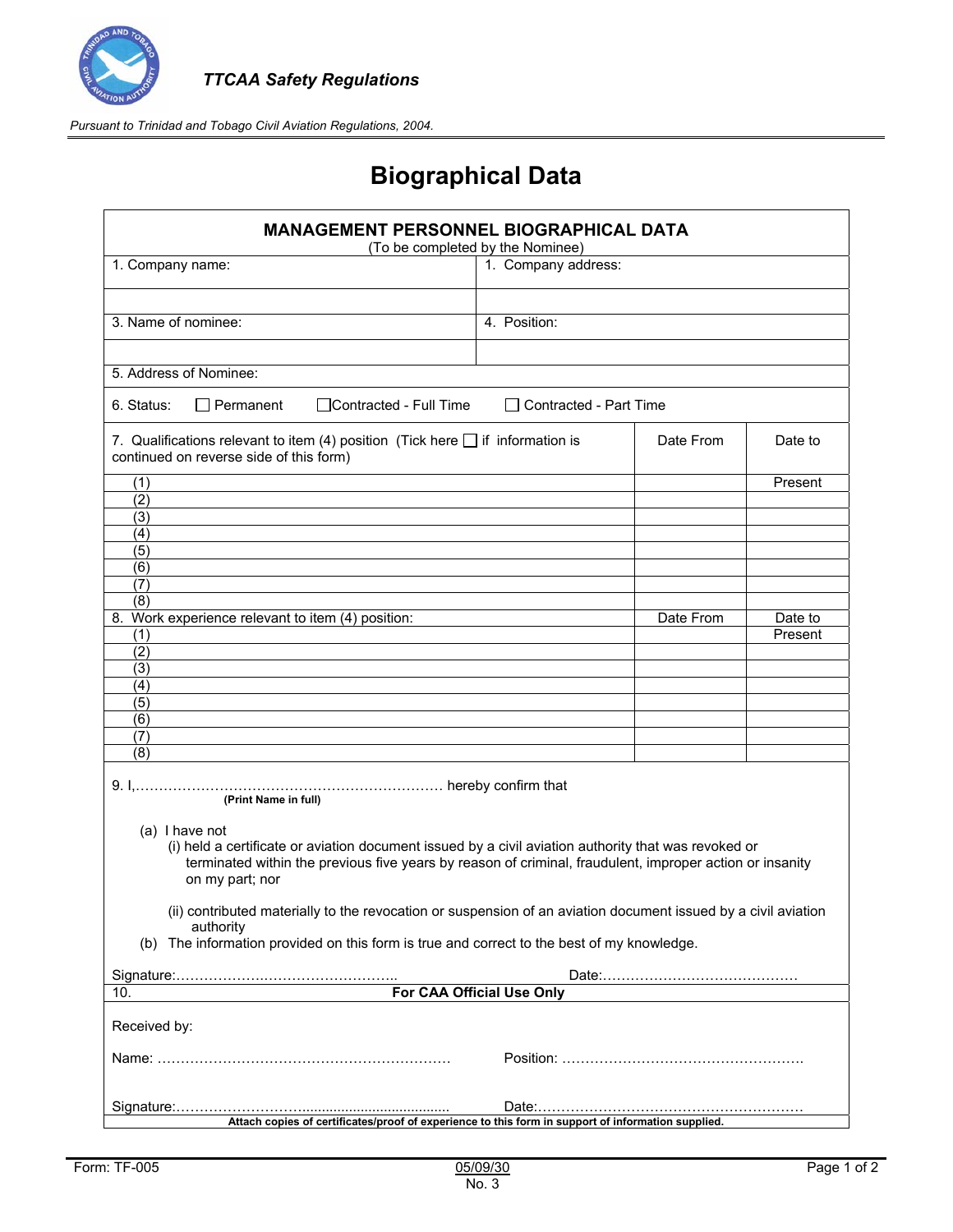

## **Biographical Data**

| <b>MANAGEMENT PERSONNEL BIOGRAPHICAL DATA</b><br>(To be completed by the Nominee)                                                                                                                                                                     |                          |           |                    |  |
|-------------------------------------------------------------------------------------------------------------------------------------------------------------------------------------------------------------------------------------------------------|--------------------------|-----------|--------------------|--|
| 1. Company name:                                                                                                                                                                                                                                      | 1. Company address:      |           |                    |  |
| 3. Name of nominee:                                                                                                                                                                                                                                   | 4. Position:             |           |                    |  |
| 5. Address of Nominee:                                                                                                                                                                                                                                |                          |           |                    |  |
| $\Box$ Permanent<br>□Contracted - Full Time<br>6. Status:                                                                                                                                                                                             | □ Contracted - Part Time |           |                    |  |
| 7. Qualifications relevant to item (4) position (Tick here $\Box$ if information is<br>continued on reverse side of this form)                                                                                                                        |                          | Date From | Date to            |  |
| (1)<br>(2)                                                                                                                                                                                                                                            |                          |           | Present            |  |
| (3)<br>(4)<br>(5)                                                                                                                                                                                                                                     |                          |           |                    |  |
| (6)<br>(7)<br>(8)                                                                                                                                                                                                                                     |                          |           |                    |  |
| 8.<br>Work experience relevant to item (4) position:<br>(1)<br>(2)                                                                                                                                                                                    |                          | Date From | Date to<br>Present |  |
| (3)<br>(4)<br>(5)                                                                                                                                                                                                                                     |                          |           |                    |  |
| (6)<br>(7)<br>(8)                                                                                                                                                                                                                                     |                          |           |                    |  |
| (Print Name in full)                                                                                                                                                                                                                                  |                          |           |                    |  |
| (a) I have not<br>(i) held a certificate or aviation document issued by a civil aviation authority that was revoked or<br>terminated within the previous five years by reason of criminal, fraudulent, improper action or insanity<br>on my part; nor |                          |           |                    |  |
| (ii) contributed materially to the revocation or suspension of an aviation document issued by a civil aviation<br>authority<br>(b) The information provided on this form is true and correct to the best of my knowledge.                             |                          |           |                    |  |
| For CAA Official Use Only                                                                                                                                                                                                                             |                          |           |                    |  |
| 10.<br>Received by:                                                                                                                                                                                                                                   |                          |           |                    |  |
|                                                                                                                                                                                                                                                       |                          |           |                    |  |
| Attach copies of certificates/proof of experience to this form in support of information supplied.                                                                                                                                                    |                          |           |                    |  |